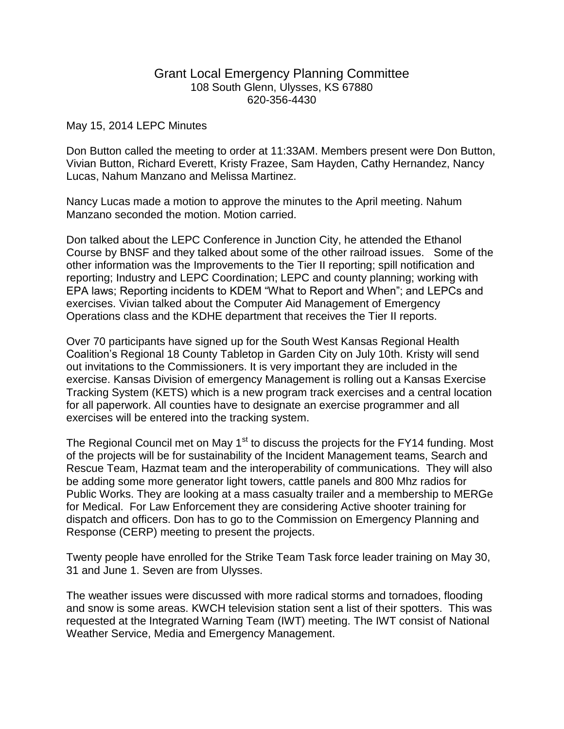## Grant Local Emergency Planning Committee 108 South Glenn, Ulysses, KS 67880 620-356-4430

## May 15, 2014 LEPC Minutes

Don Button called the meeting to order at 11:33AM. Members present were Don Button, Vivian Button, Richard Everett, Kristy Frazee, Sam Hayden, Cathy Hernandez, Nancy Lucas, Nahum Manzano and Melissa Martinez.

Nancy Lucas made a motion to approve the minutes to the April meeting. Nahum Manzano seconded the motion. Motion carried.

Don talked about the LEPC Conference in Junction City, he attended the Ethanol Course by BNSF and they talked about some of the other railroad issues. Some of the other information was the Improvements to the Tier II reporting; spill notification and reporting; Industry and LEPC Coordination; LEPC and county planning; working with EPA laws; Reporting incidents to KDEM "What to Report and When"; and LEPCs and exercises. Vivian talked about the Computer Aid Management of Emergency Operations class and the KDHE department that receives the Tier II reports.

Over 70 participants have signed up for the South West Kansas Regional Health Coalition's Regional 18 County Tabletop in Garden City on July 10th. Kristy will send out invitations to the Commissioners. It is very important they are included in the exercise. Kansas Division of emergency Management is rolling out a Kansas Exercise Tracking System (KETS) which is a new program track exercises and a central location for all paperwork. All counties have to designate an exercise programmer and all exercises will be entered into the tracking system.

The Regional Council met on May  $1<sup>st</sup>$  to discuss the projects for the FY14 funding. Most of the projects will be for sustainability of the Incident Management teams, Search and Rescue Team, Hazmat team and the interoperability of communications. They will also be adding some more generator light towers, cattle panels and 800 Mhz radios for Public Works. They are looking at a mass casualty trailer and a membership to MERGe for Medical. For Law Enforcement they are considering Active shooter training for dispatch and officers. Don has to go to the Commission on Emergency Planning and Response (CERP) meeting to present the projects.

Twenty people have enrolled for the Strike Team Task force leader training on May 30, 31 and June 1. Seven are from Ulysses.

The weather issues were discussed with more radical storms and tornadoes, flooding and snow is some areas. KWCH television station sent a list of their spotters. This was requested at the Integrated Warning Team (IWT) meeting. The IWT consist of National Weather Service, Media and Emergency Management.